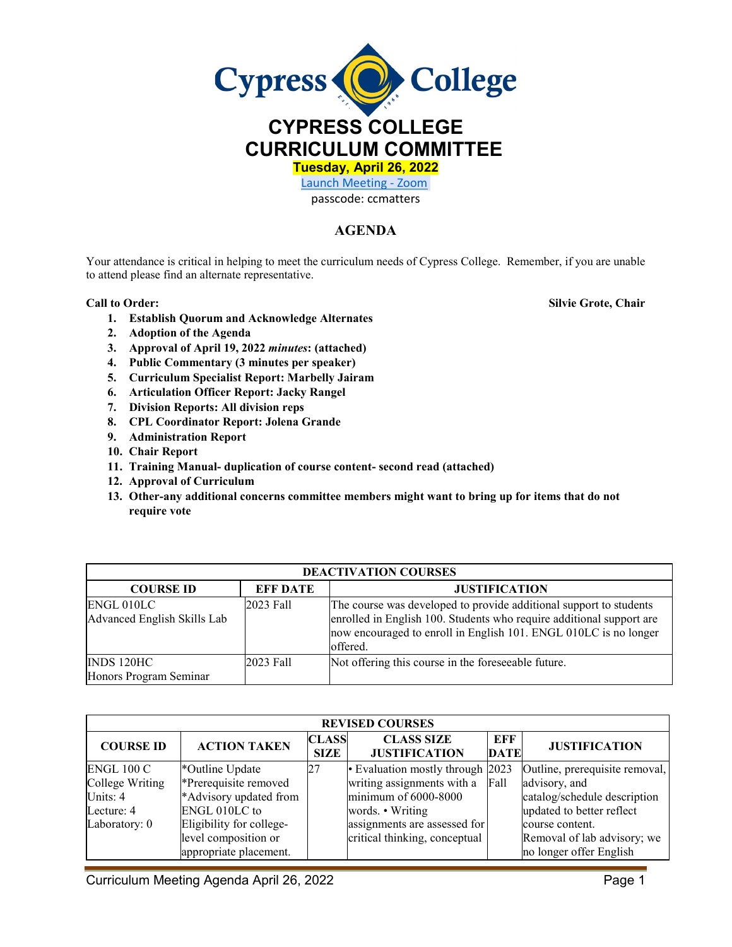

**CURRICULUM COMMITTEE**

**Tuesday, April 26, 2022** 

[Launch Meeting - Zoom](https://cypresscollege-edu.zoom.us/j/96161669542?pwd=OWYraHlaR0UzOE9QYU9NaXlnSjRIZz09#success)  passcode: ccmatters

## **AGENDA**

Your attendance is critical in helping to meet the curriculum needs of Cypress College. Remember, if you are unable to attend please find an alternate representative.

**1. Establish Quorum and Acknowledge Alternates**

**Call to Order: Silvie Grote, Chair**

- **2. Adoption of the Agenda**
- **3. Approval of April 19, 2022** *minutes***: (attached)**
- **4. Public Commentary (3 minutes per speaker)**
- **5. Curriculum Specialist Report: Marbelly Jairam**
- **6. Articulation Officer Report: Jacky Rangel**
- **7. Division Reports: All division reps**
- **8. CPL Coordinator Report: Jolena Grande**
- **9. Administration Report**
- **10. Chair Report**
- **11. Training Manual- duplication of course content- second read (attached)**
- **12. Approval of Curriculum**
- **13. Other-any additional concerns committee members might want to bring up for items that do not require vote**

| <b>DEACTIVATION COURSES</b>               |                 |                                                                                                                                                                                                                             |  |  |  |  |  |
|-------------------------------------------|-----------------|-----------------------------------------------------------------------------------------------------------------------------------------------------------------------------------------------------------------------------|--|--|--|--|--|
| <b>COURSE ID</b>                          | <b>EFF DATE</b> | <b>JUSTIFICATION</b>                                                                                                                                                                                                        |  |  |  |  |  |
| ENGL 010LC<br>Advanced English Skills Lab | 2023 Fall       | The course was developed to provide additional support to students<br>enrolled in English 100. Students who require additional support are<br>now encouraged to enroll in English 101. ENGL 010LC is no longer<br>loffered. |  |  |  |  |  |
| INDS 120HC<br>Honors Program Seminar      | 2023 Fall       | Not offering this course in the foreseeable future.                                                                                                                                                                         |  |  |  |  |  |

| <b>REVISED COURSES</b> |                          |                             |                                           |                    |                                |  |  |  |
|------------------------|--------------------------|-----------------------------|-------------------------------------------|--------------------|--------------------------------|--|--|--|
| <b>COURSE ID</b>       | <b>ACTION TAKEN</b>      | <b>CLASS</b><br><b>SIZE</b> | <b>CLASS SIZE</b><br><b>JUSTIFICATION</b> | EFF<br><b>DATE</b> | <b>JUSTIFICATION</b>           |  |  |  |
| ENGL 100 C             | *Outline Update          | 27                          | • Evaluation mostly through 2023          |                    | Outline, prerequisite removal, |  |  |  |
| College Writing        | *Prerequisite removed    |                             | writing assignments with a                | Fall               | advisory, and                  |  |  |  |
| Units: $4$             | *Advisory updated from   |                             | minimum of 6000-8000                      |                    | catalog/schedule description   |  |  |  |
| Lecture: 4             | ENGL 010LC to            |                             | words. • Writing                          |                    | updated to better reflect      |  |  |  |
| Laboratory: 0          | Eligibility for college- |                             | assignments are assessed for              |                    | course content.                |  |  |  |
|                        | level composition or     |                             | critical thinking, conceptual             |                    | Removal of lab advisory; we    |  |  |  |
|                        | appropriate placement.   |                             |                                           |                    | no longer offer English        |  |  |  |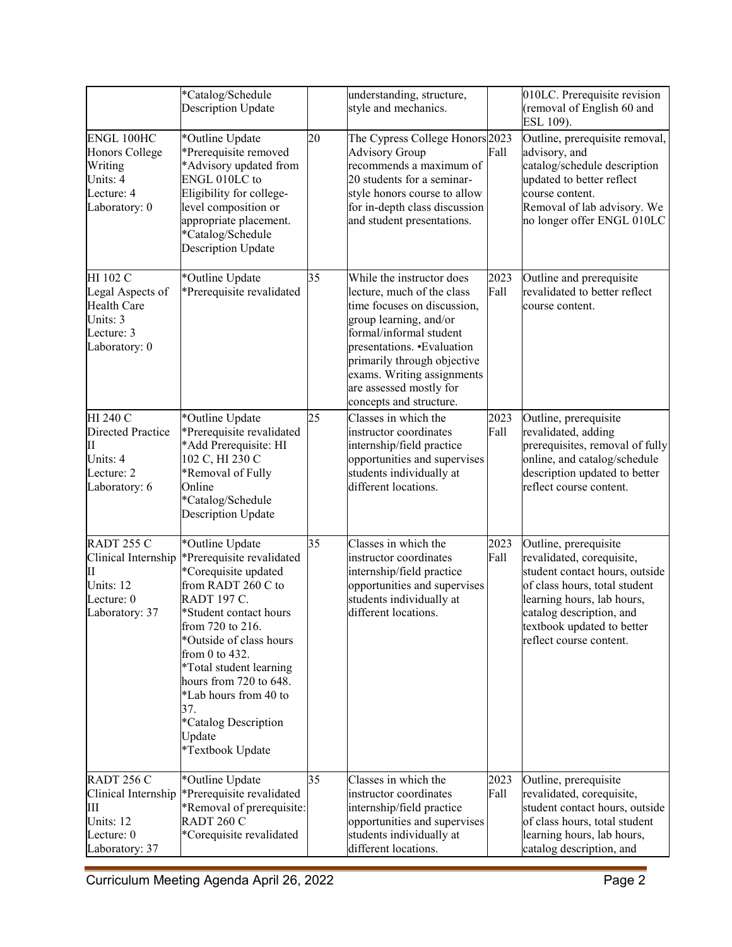|                                                                                               | *Catalog/Schedule<br><b>Description Update</b>                                                                                                                                                                                                                                                                                                              |    | understanding, structure,<br>style and mechanics.                                                                                                                                                                                                                                             |              | 010LC. Prerequisite revision<br>(removal of English 60 and<br>ESL 109).                                                                                                                                                                  |
|-----------------------------------------------------------------------------------------------|-------------------------------------------------------------------------------------------------------------------------------------------------------------------------------------------------------------------------------------------------------------------------------------------------------------------------------------------------------------|----|-----------------------------------------------------------------------------------------------------------------------------------------------------------------------------------------------------------------------------------------------------------------------------------------------|--------------|------------------------------------------------------------------------------------------------------------------------------------------------------------------------------------------------------------------------------------------|
| ENGL 100HC<br>Honors College<br>Writing<br>Units: 4<br>Lecture: 4<br>Laboratory: 0            | *Outline Update<br>*Prerequisite removed<br>*Advisory updated from<br>ENGL 010LC to<br>Eligibility for college-<br>level composition or<br>appropriate placement.<br>*Catalog/Schedule<br><b>Description Update</b>                                                                                                                                         | 20 | The Cypress College Honors 2023<br><b>Advisory Group</b><br>recommends a maximum of<br>20 students for a seminar-<br>style honors course to allow<br>for in-depth class discussion<br>and student presentations.                                                                              | Fall         | Outline, prerequisite removal,<br>advisory, and<br>catalog/schedule description<br>updated to better reflect<br>course content.<br>Removal of lab advisory. We<br>no longer offer ENGL 010LC                                             |
| HI 102 C<br>Legal Aspects of<br><b>Health Care</b><br>Units: 3<br>Lecture: 3<br>Laboratory: 0 | *Outline Update<br>*Prerequisite revalidated                                                                                                                                                                                                                                                                                                                | 35 | While the instructor does<br>lecture, much of the class<br>time focuses on discussion,<br>group learning, and/or<br>formal/informal student<br>presentations. • Evaluation<br>primarily through objective<br>exams. Writing assignments<br>are assessed mostly for<br>concepts and structure. | 2023<br>Fall | Outline and prerequisite<br>revalidated to better reflect<br>course content.                                                                                                                                                             |
| HI 240 C<br><b>Directed Practice</b><br>П<br>Units: 4<br>Lecture: 2<br>Laboratory: 6          | *Outline Update<br>*Prerequisite revalidated<br>*Add Prerequisite: HI<br>102 C, HI 230 C<br>*Removal of Fully<br>Online<br>*Catalog/Schedule<br><b>Description Update</b>                                                                                                                                                                                   | 25 | Classes in which the<br>instructor coordinates<br>internship/field practice<br>opportunities and supervises<br>students individually at<br>different locations.                                                                                                                               | 2023<br>Fall | Outline, prerequisite<br>revalidated, adding<br>prerequisites, removal of fully<br>online, and catalog/schedule<br>description updated to better<br>reflect course content.                                                              |
| RADT 255 C<br>Clinical Internship<br>П<br>Units: 12<br>Lecture: 0<br>Laboratory: 37           | *Outline Update<br>*Prerequisite revalidated<br>*Corequisite updated<br>from RADT 260 C to<br><b>RADT 197 C.</b><br>*Student contact hours<br>from 720 to 216.<br>*Outside of class hours<br>from $0$ to $432$ .<br>*Total student learning<br>hours from 720 to 648.<br>*Lab hours from 40 to<br>37.<br>*Catalog Description<br>Update<br>*Textbook Update | 35 | Classes in which the<br>instructor coordinates<br>internship/field practice<br>opportunities and supervises<br>students individually at<br>different locations.                                                                                                                               | 2023<br>Fall | Outline, prerequisite<br>revalidated, corequisite,<br>student contact hours, outside<br>of class hours, total student<br>learning hours, lab hours,<br>catalog description, and<br>textbook updated to better<br>reflect course content. |
| RADT $256C$<br>Clinical Internship<br>Ш<br>Units: 12<br>Lecture: 0<br>Laboratory: 37          | *Outline Update<br>*Prerequisite revalidated<br>*Removal of prerequisite:<br>RADT 260 C<br>*Corequisite revalidated                                                                                                                                                                                                                                         | 35 | Classes in which the<br>instructor coordinates<br>internship/field practice<br>opportunities and supervises<br>students individually at<br>different locations.                                                                                                                               | 2023<br>Fall | Outline, prerequisite<br>revalidated, corequisite,<br>student contact hours, outside<br>of class hours, total student<br>learning hours, lab hours,<br>catalog description, and                                                          |